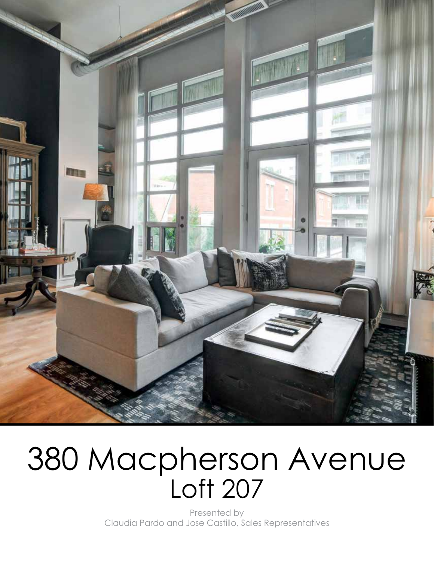

# 380 Macpherson Avenue Loft 207

Presented by Claudia Pardo and Jose Castillo, Sales Representatives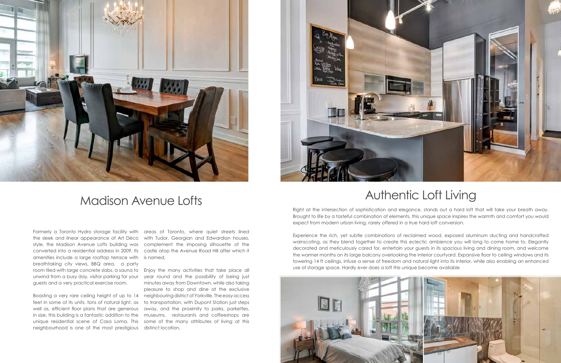Formerly a Toronto Hydro storage facility with areas of Toronto, where quiet streets lined the sleek and linear appearance of Art Déco style, the Madison Avenue Lofts building was converted into a residential address in 2009. Its amenities include a large rooftop terrace with is named. breathtaking city views, BBQ area, a party room tiled with large concrete slabs, a sauna to Enjoy the many activities that take place all guests and a very practical exercise room.

feet in some of its units, tons of natural light, as unique residential scene of Casa Loma. This neighbourhood is one of the most prestigious

with Tudor, Georgian and Edwardian houses, complement the imposing silhouette of the castle atop the Avenue Road Hill after which it

unwind from a busy day, visitor parking for your year round and the possibility of being just Boasting a very rare ceiling height of up to 14 neighbouring district of Yorkville. The easy access well as, efficient floor plans that are generous away, and the proximity to parks, parkettes, in size, this building is a fantastic addition to the museums, restaurants and coffeeshops are minutes away from Downtown, while also taking pleasure to shop and dine at the exclusive to transportation, with Dupont Station just steps some of the many attributes of living at this distinct location.





### Madison Avenue Lofts

Right at the intersection of sophistication and elegance, stands out a hard loft that will take your breath away. Brought to life by a tasteful combination of elements, this unique space inspires the warmth and comfort you would expect from modern urban living, rarely offered in a true hard loft conversion.

Experience the rich, yet subtle combinations of reclaimed wood, exposed aluminum ducting and handcrafted wainscoting, as they blend together to create this eclectic ambience you will long to come home to. Elegantly decorated and meticulously cared for, entertain your guests in its spacious living and dining room, and welcome the warmer months on its large balcony overlooking the interior courtyard. Expansive floor to ceiling windows and its towering 14 ft ceilings, infuse a sense of freedom and natural light into its interior, while also enabling an enhanced use of storage space. Hardly ever does a loft this unique become available



## Authentic Loft Living